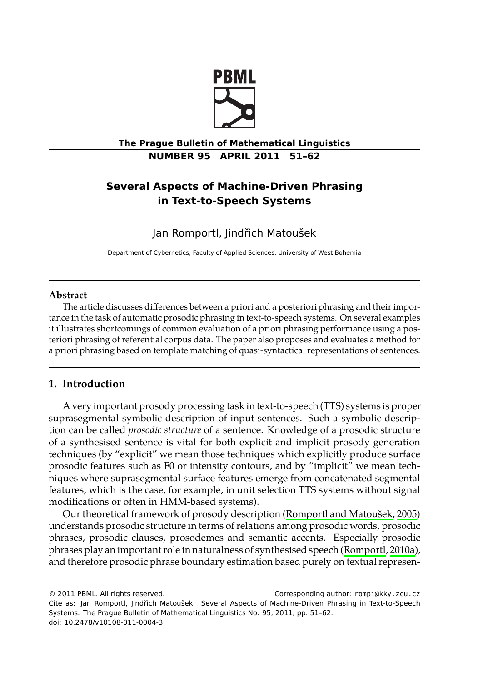

**The Prague Bulletin of Mathematical Linguistics NUMBER 95 APRIL 2011 51–62**

# **Several Aspects of Machine-Driven Phrasing in Text-to-Speech Systems**

Jan Romportl, Jindřich Matoušek

Department of Cybernetics, Faculty of Applied Sciences, University of West Bohemia

## **Abstract**

The article discusses differences between a priori and a posteriori phrasing and their importance in the task of automatic prosodic phrasing in text-to-speech systems. On several examples it illustrates shortcomings of common evaluation of a priori phrasing performance using a posteriori phrasing of referential corpus data. The paper also proposes and evaluates a method for a priori phrasing based on template matching of quasi-syntactical representations of sentences.

# **1. Introduction**

A very important prosody processing task in text-to[-speech \(TTS\) systems is prope](#page-10-0)r suprasegmental symbolic description of input sentences. Such a symbolic description can be called *prosodic structure* of a sentence. Knowledge of a prosodic structure of a synthesised sentence is vital for both explicit and implicit pr[osody generation](#page-10-1) techniques (by "explicit" we mean those techniques which explicitly produce surface prosodic features such as F0 or intensity contours, and by "implicit" we mean techniques where suprasegmental surface features emerge from concatenated segmental features, which is the case, for example, in unit selection TTS systems without signal modifications or often in HMM-based systems).

Our theoretical framework of prosody description (Romportl and Matoušek, 2005) understands prosodic structure in terms of relations among prosodic words, prosodic phrases, prosodic clauses, prosodemes and semantic accents. Especially prosodic phrases play an important role in naturalness of synthesised speech (Romportl, 2010a), and therefore prosodic phrase boundary estimation based purely on textual represen-

<sup>© 2011</sup> PBML. All rights reserved. Corresponding author: rompi@kky.zcu.cz Cite as: Jan Romportl, Jindřich Matoušek. Several Aspects of Machine-Driven Phrasing in Text-to-Speech Systems. The Prague Bulletin of Mathematical Linguistics No. 95, 2011, pp. 51–62. doi: 10.2478/v10108-011-0004-3.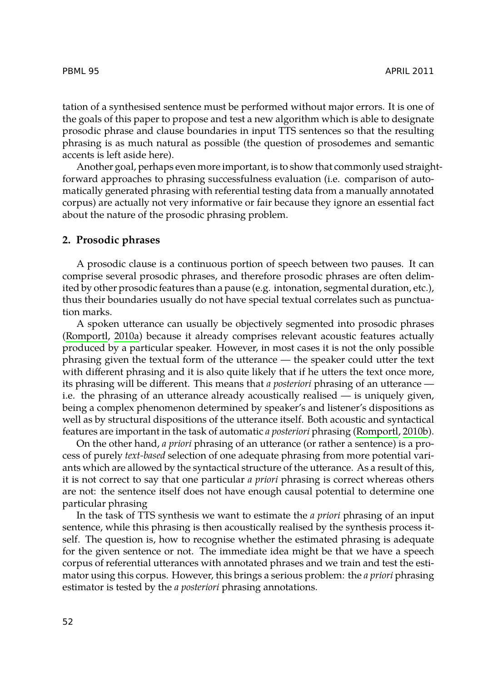tation of a synthesised sentence must be performed without major errors. It is one of the goals of this paper to propose and test a new algorithm which is able to designate prosodic phrase and clause boundaries in input TTS sentences so that the resulting phrasing is as much natural as possible (the question of prosodemes and semantic accents is left aside here).

Another goal, perhaps even more important, is to show that commonly used straightforward approaches to phrasing successfulness evaluation (i.e. comparison of automatically generated phrasing with referential testing data from a manually annotated corpus) are actually not very informative or fair because they ignore an essential fact [about the nature o](#page-10-1)f the prosodic phrasing problem.

### **2. Prosodic phrases**

A prosodic clause is a continuous portion of speech between two pauses. It can comprise several prosodic phrases, and therefore prosodic phrases are often delimited by other prosodic features than a pause (e.g. intonation, segmental duration, etc.), thus their boundaries usually do not have special textual correlates such as punctuation marks.

A spoken utterance can usually be objectively segmented into [prosodic phrase](#page-10-2)s (Romportl, 2010a) because it already comprises relevant acoustic features actually produced by a particular speaker. However, in most cases it is not the only possible phrasing given the textual form of the utterance — the speaker could utter the text with different phrasing and it is also quite likely that if he utters the text once more, its phrasing will be different. This means that *a posteriori* phrasing of an utterance i.e. the phrasing of an utterance already acoustically realised — is uniquely given, being a complex phenomenon determined by speaker's and listener's dispositions as well as by structural dispositions of the utterance itself. Both acoustic and syntactical features are important in the task of automatic *a posteriori* phrasing (Romportl, 2010b).

On the other hand, *a priori* phrasing of an utterance (or rather a sentence) is a process of purely *text-based* selection of one adequate phrasing from more potential variants which are allowed by the syntactical structure of the utterance. As a result of this, it is not correct to say that one particular *a priori* phrasing is correct whereas others are not: the sentence itself does not have enough causal potential to determine one particular phrasing

In the task of TTS synthesis we want to estimate the *a priori* phrasing of an input sentence, while this phrasing is then acoustically realised by the synthesis process itself. The question is, how to recognise whether the estimated phrasing is adequate for the given sentence or not. The immediate idea might be that we have a speech corpus of referential utterances with annotated phrases and we train and test the estimator using this corpus. However, this brings a serious problem: the *a priori* phrasing estimator is tested by the *a posteriori* phrasing annotations.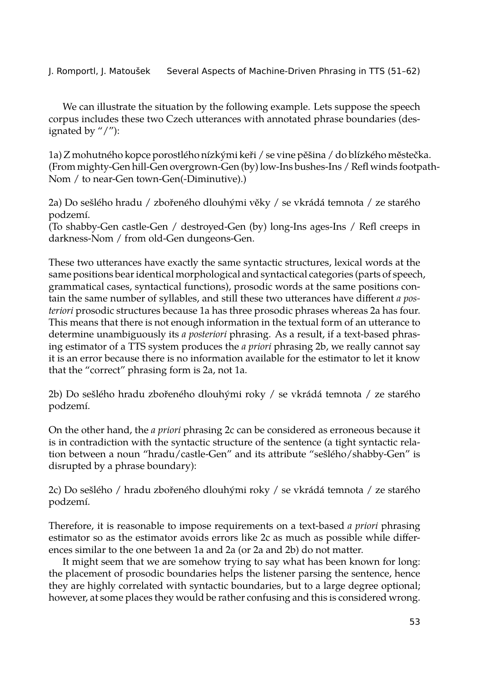We can illustrate the situation by the following example. Lets suppose the speech corpus includes these two Czech utterances with annotated phrase boundaries (designated by "/"):

1a) Z mohutného kopce porostlého nízkými keři / se vine pěšina / do blízkého městečka. (From mighty-Gen hill-Gen overgrown-Gen (by) low-Ins bushes-Ins / Refl winds footpath-Nom / to near-Gen town-Gen(-Diminutive).)

2a) Do sešlého hradu / zbořeného dlouhými věky / se vkrádá temnota / ze starého podzemí.

(To shabby-Gen castle-Gen / destroyed-Gen (by) long-Ins ages-Ins / Refl creeps in darkness-Nom / from old-Gen dungeons-Gen.

These two utterances have exactly the same syntactic structures, lexical words at the same positions bear identical morphological and syntactical categories (parts of speech, grammatical cases, syntactical functions), prosodic words at the same positions contain the same number of syllables, and still these two utterances have different *a posteriori* prosodic structures because 1a has three prosodic phrases whereas 2a has four. This means that there is not enough information in the textual form of an utterance to determine unambiguously its *a posteriori* phrasing. As a result, if a text-based phrasing estimator of a TTS system produces the *a priori* phrasing 2b, we really cannot say it is an error because there is no information available for the estimator to let it know that the "correct" phrasing form is 2a, not 1a.

2b) Do sešlého hradu zbořeného dlouhými roky / se vkrádá temnota / ze starého podzemí.

On the other hand, the *a priori* phrasing 2c can be considered as erroneous because it is in contradiction with the syntactic structure of the sentence (a tight syntactic relation between a noun "hradu/castle-Gen" and its attribute "sešlého/shabby-Gen" is disrupted by a phrase boundary):

2c) Do sešlého / hradu zbořeného dlouhými roky / se vkrádá temnota / ze starého podzemí.

Therefore, it is reasonable to impose requirements on a text-based *a priori* phrasing estimator so as the estimator avoids errors like 2c as much as possible while differences similar to the one between 1a and 2a (or 2a and 2b) do not matter.

It might seem that we are somehow trying to say what has been known for long: the placement of prosodic boundaries helps the listener parsing the sentence, hence they are highly correlated with syntactic boundaries, but to a large degree optional; however, at some places they would be rather confusing and this is considered wrong.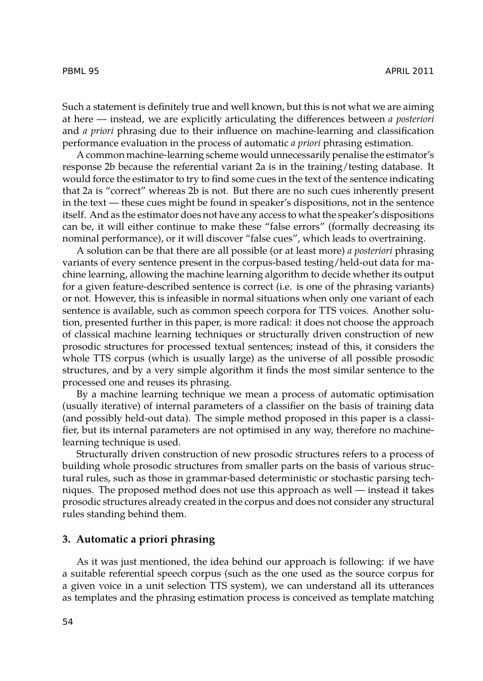Such a statement is definitely true and well known, but this is not what we are aiming at here — instead, we are explicitly articulating the differences between *a posteriori* and *a priori* phrasing due to their influence on machine-learning and classification performance evaluation in the process of automatic *a priori* phrasing estimation.

A common machine-learning scheme would unnecessarily penalise the estimator's response 2b because the referential variant 2a is in the training/testing database. It would force the estimator to try to find some cues in the text of the sentence indicating that 2a is "correct" whereas 2b is not. But there are no such cues inherently present in the text — these cues might be found in speaker's dispositions, not in the sentence itself. And as the estimator does not have any access to what the speaker's dispositions can be, it will either continue to make these "false errors" (formally decreasing its nominal performance), or it will discover "false cues", which leads to overtraining.

A solution can be that there are all possible (or at least more) *a posteriori* phrasing variants of every sentence present in the corpus-based testing/held-out data for machine learning, allowing the machine learning algorithm to decide whether its output for a given feature-described sentence is correct (i.e. is one of the phrasing variants) or not. However, this is infeasible in normal situations when only one variant of each sentence is available, such as common speech corpora for TTS voices. Another solution, presented further in this paper, is more radical: it does not choose the approach of classical machine learning techniques or structurally driven construction of new prosodic structures for processed textual sentences; instead of this, it considers the whole TTS corpus (which is usually large) as the universe of all possible prosodic structures, and by a very simple algorithm it finds the most similar sentence to the processed one and reuses its phrasing.

By a machine learning technique we mean a process of automatic optimisation (usually iterative) of internal parameters of a classifier on the basis of training data (and possibly held-out data). The simple method proposed in this paper is a classifier, but its internal parameters are not optimised in any way, therefore no machinelearning technique is used.

Structurally driven construction of new prosodic structures refers to a process of building whole prosodic structures from smaller parts on the basis of various structural rules, such as those in grammar-based deterministic or stochastic parsing techniques. The proposed method does not use this approach as well — instead it takes prosodic structures already created in the corpus and does not consider any structural rules standing behind them.

## **3. Automatic a priori phrasing**

As it was just mentioned, the idea behind our approach is following: if we have a suitable referential speech corpus (such as the one used as the source corpus for a given voice in a unit selection TTS system), we can understand all its utterances as templates and the phrasing estimation process is conceived as template matching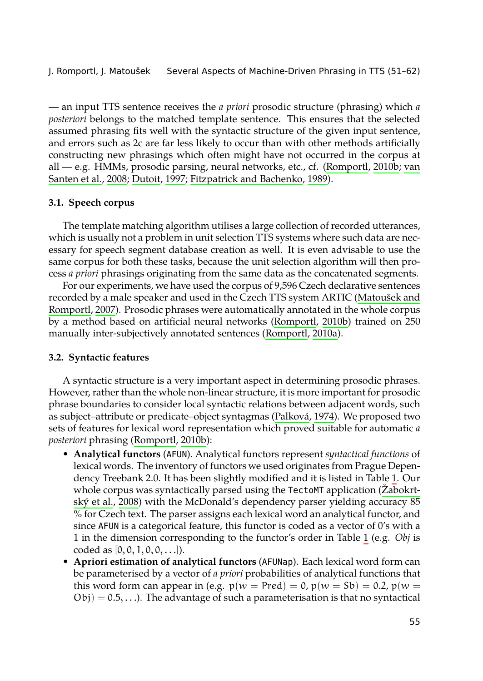— an input TTS sentence receives the *a priori* prosodic structure (phrasing) which *a posteriori* belongs to the matched template sentence. This ensures that the selected assumed phrasing fits well with the syntactic structure of the given input sentence, and errors such as 2c are far less likely to occur than with other methods artificially constructing new phrasings which often might have not occurred in the corpus at all — e.g. HMMs, prosodic parsing, neural networks, etc., cf. (Romportl, 2010b; van Santen et al., 2008; Dutoit, 1997; Fitzpatrick and Bachenko, 1989).

#### **[3.1. Speech cor](#page-10-6)pus**

The template matching algorithm utilises a lar[ge collection of re](#page-10-1)corded utterances, which is usually not a problem in unit selection TTS systems where such data are necessary for speech segment database creation as well. It is even advisable to use the same corpus for both these tasks, because the unit selection algorithm will then process *a priori* phrasings originating from the same data as the concatenated segments.

For our experiments, we have used the corpus of 9,596 Czech declarative sentences recorded by a male speaker and used in the Czech TTS system ARTIC (Matoušek and Romportl, 2007). Prosodic phrases were automatica[lly annotated i](#page-10-7)n the whole corpus by a method based on artificial neural networks (Romportl, 2010b) trained on 250 manually inter-sub[jectively annotate](#page-10-2)d sentences (Romportl, 2010a).

#### **3.2. Syntactic features**

A syntactic structure is a very important aspect in determining prosodic [phrases.](#page-10-8) How[ever, rather than](#page-10-8) the whole non-linear structure, it is more important for prosodic phrase boundaries to consider local syntactic relations between adjacent words, such as subject–attribute or predicate–object syntagmas (Palková, 1974). We proposed two sets of features for lexical word representation which proved suitable fo[r](#page-5-0) automatic *a posteriori* phrasing (Romportl, 2010b):

- **Analytical functors** (AFUN). Analytical functors represent *syntactical functions* of lexical words. The inventory of functors we used originates from Prague Dependency Treebank 2.0. It has been slightly modified and it is listed in Table 1. Our whole corpus was syntactically parsed using the TectoMT application (Žabokrtský et al., 2008) with the McDonald's dependency parser yielding accuracy 85 % for Czech text. The parser assigns each lexical word an analytical functor, and since AFUN is a categorical feature, this functor is coded as a vector of 0's with a 1 in the dimension corresponding to the functor's order in Table 1 (e.g. *Obj* is coded as  $[0, 0, 1, 0, 0, \ldots]$ ).
- **Apriori estimation of analytical functors** (AFUNap). Each lexical word form can be parameterised by a vector of *a priori* probabilities of analytical functions that this word form can appear in (e.g.  $p(w = Pred) = 0$ ,  $p(w = Sb) = 0.2$ ,  $p(w =$  $Obj$ ) = 0.5,...). The advantage of such a parameterisation is that no syntactical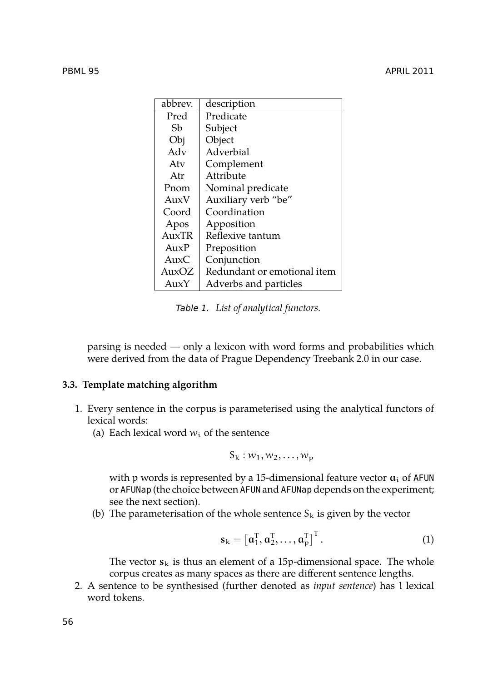| abbrev.     | description                 |
|-------------|-----------------------------|
| Pred        | Predicate                   |
| Sh          | Subject                     |
| Obj         | Object                      |
| Adv         | Adverbial                   |
| Atv         | Complement                  |
| Atr         | Attribute                   |
| Pnom        | Nominal predicate           |
| AuxV        | Auxiliary verb "be"         |
| Coord       | Coordination                |
| Apos        | Apposition                  |
| $A_{11}xTR$ | Reflexive tantum            |
| $A_{11}xP$  | Preposition                 |
| AuxC        | Conjunction                 |
| AuxOZ       | Redundant or emotional item |
| AuxY        | Adverbs and particles       |

<span id="page-5-0"></span>*Table 1. List of analytical functors.*

parsing is needed — only a lexicon with word forms and probabilities which were derived from the data of Prague Dependency Treebank 2.0 in our case.

# **3.3. Template matching algorithm**

- 1. Every sentence in the corpus is parameterised using the analytical functors of lexical words:
	- (a) Each lexical word  $w_i$  of the sentence

$$
S_k:w_1,w_2,\ldots,w_p
$$

with p words is represented by a 15-dimensional feature vector  $a_i$  of AFUN or AFUNap (the choice between AFUN and AFUNap depends on the experiment; see the next section).

(b) The parameterisation of the whole sentence  $S_k$  is given by the vector

$$
\mathbf{s}_{k} = \left[\mathbf{a}_{1}^{T}, \mathbf{a}_{2}^{T}, \ldots, \mathbf{a}_{p}^{T}\right]^{T}.
$$
 (1)

The vector  $s_k$  is thus an element of a 15p-dimensional space. The whole corpus creates as many spaces as there are different sentence lengths.

2. A sentence to be synthesised (further denoted as *input sentence*) has l lexical word tokens.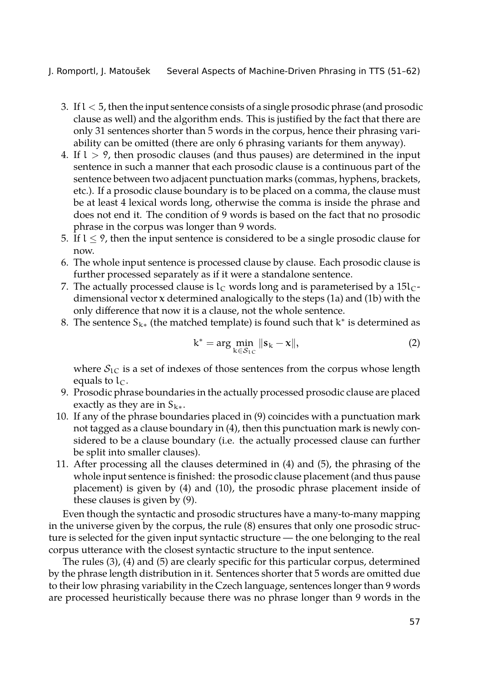- 3. Ifl < 5, then the input sentence consists of a single prosodic phrase (and prosodic clause as well) and the algorithm ends. This is justified by the fact that there are only 31 sentences shorter than 5 words in the corpus, hence their phrasing variability can be omitted (there are only 6 phrasing variants for them anyway).
- 4. If  $l > 9$ , then prosodic clauses (and thus pauses) are determined in the input sentence in such a manner that each prosodic clause is a continuous part of the sentence between two adjacent punctuation marks (commas, hyphens, brackets, etc.). If a prosodic clause boundary is to be placed on a comma, the clause must be at least 4 lexical words long, otherwise the comma is inside the phrase and does not end it. The condition of 9 words is based on the fact that no prosodic phrase in the corpus was longer than 9 words.
- 5. If l *≤* 9, then the input sentence is considered to be a single prosodic clause for now.
- 6. The whole input sentence is processed clause by clause. Each prosodic clause is further processed separately as if it were a standalone sentence.
- 7. The actually processed clause is  $l_c$  words long and is parameterised by a 15l $_c$ dimensional vector **x** determined analogically to the steps (1a) and (1b) with the only difference that now it is a clause, not the whole sentence.
- 8. The sentence S<sup>k</sup>*<sup>∗</sup>* (the matched template) is found such that k *∗* is determined as

<span id="page-6-0"></span>
$$
k^* = \arg\min_{k \in \mathcal{S}_{1C}} \|s_k - x\|,\tag{2}
$$

where  $S_{1C}$  is a set of indexes of those sentences from the corpus whose length equals to  $l_{\rm C}$ .

- 9. Prosodic phrase boundaries in the actually processed prosodic clause are placed exactly as they are in  $S_{k*}$ .
- 10. If any of the phrase boundaries placed in (9) coincides with a punctuation mark not tagged as a clause boundary in (4), then this punctuation mark is newly considered to be a clause boundary (i.e. the actually processed clause can further be split into smaller clauses).
- 11. After processing all the clauses determined in (4) and (5), the phrasing of the whole input sentence is finished: the prosodic clause placement (and thus pause placement) is given by (4) and (10), the prosodic phrase placement inside of these clauses is given by (9).

Even though the syntactic and prosodic structures have a many-to-many mapping in the universe given by the corpus, the rule (8) ensures that only one prosodic structure is selected for the given input syntactic structure — the one belonging to the real corpus utterance with the closest syntactic structure to the input sentence.

The rules (3), (4) and (5) are clearly specific for this particular corpus, determined by the phrase length distribution in it. Sentences shorter that 5 words are omitted due to their low phrasing variability in the Czech language, sentences longer than 9 words are processed heuristically because there was no phrase longer than 9 words in the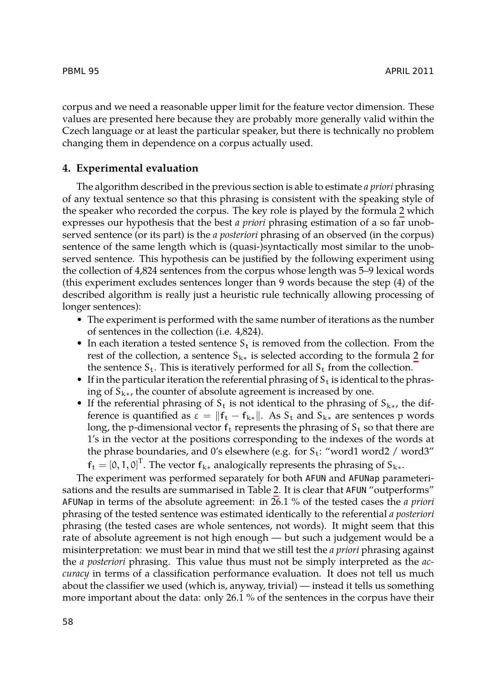corpus and we need a reasonable upper limit for the feature vector dimensio[n.](#page-6-0) These values are presented here because they are probably more generally valid within the Czech language or at least the particular speaker, but there is technically no problem changing them in dependence on a corpus actually used.

### **4. Experimental evaluation**

The algorithm described in the previous section is able to estimate *a priori* phrasing of any textual sentence so that this phrasing is consistent with the speaking style of the speaker who recorded the corpus. The key role is played by the formula 2 which expresses our hypothesis that the best *a priori* phrasing estimation of a so far unobserved sentence (or its part) is the *a posteriori* phrasing of an observed (in the corpus) sentence of the same length which is (quasi-)syntactically most similar to the [un](#page-6-0)observed sentence. This hypothesis can be justified by the following experiment using the collection of 4,824 sentences from the corpus whose length was 5–9 lexical words (this experiment excludes sentences longer than 9 words because the step (4) of the described algorithm is really just a heuristic rule technically allowing processing of longer sentences):

- The experiment is performed with the same number of iterations as the number of sentences in the collection (i.e. 4,824).
- In each iteration a tested sentence  $S_t$  is removed from the collection. From the rest of the collection, a sentence  $S_{k*}$  is selected according to the formula 2 for the sentence  $S_t$ . This is iteratively performed for all  $S_t$  from the collection.
- If in the particular iteration the referential [ph](#page-8-0)rasing of  $S_t$  is identical to the phrasing of S<sup>k</sup>*∗*, the counter of absolute agreement is increased by one.
- If the referential phrasing of  $S_t$  is not identical to the phrasing of  $S_{k*}$ , the difference is quantified as  $\varepsilon = ||\mathbf{f}_t - \mathbf{f}_{k*}||$ . As  $S_t$  and  $S_{k*}$  are sentences p words long, the p-dimensional vector  $f_t$  represents the phrasing of  $S_t$  so that there are 1's in the vector at the positions corresponding to the indexes of the words at the phrase boundaries, and 0's elsewhere (e.g. for  $S_t$ : "word1 word2 / word3"

 $f_t = [0, 1, 0]^T$ . The vector  $f_{k*}$  analogically represents the phrasing of  $S_{k*}$ .

The experiment was performed separately for both AFUN and AFUNap parameterisations and the results are summarised in Table 2. It is clear that AFUN "outperforms" AFUNap in terms of the absolute agreement: in 26.1 % of the tested cases the *a priori* phrasing of the tested sentence was estimated identically to the referential *a posteriori* phrasing (the tested cases are whole sentences, not words). It might seem that this rate of absolute agreement is not high enough — but such a judgement would be a misinterpretation: we must bear in mind that we still test the *a priori* phrasing against the *a posteriori* phrasing. This value thus must not be simply interpreted as the *accuracy* in terms of a classification performance evaluation. It does not tell us much about the classifier we used (which is, anyway, trivial) — instead it tells us something more important about the data: only 26.1 % of the sentences in the corpus have their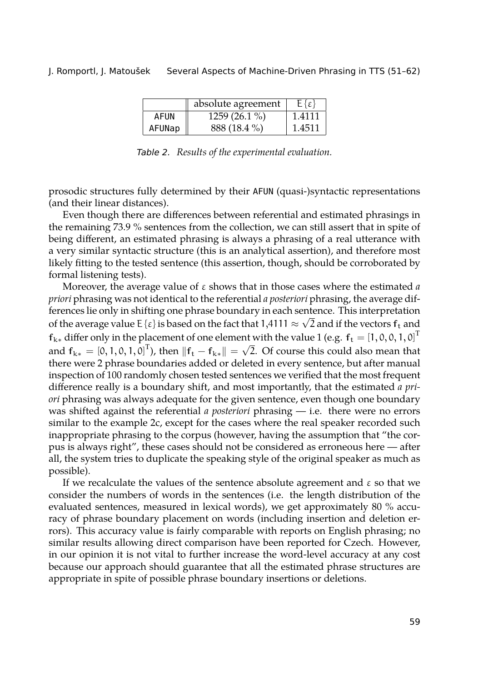|        | absolute agreement | $E\{\varepsilon\}$ |
|--------|--------------------|--------------------|
| AFUN   | 1259 (26.1 %)      | 1.4111             |
| AFUNap | 888 (18.4 %)       | 1.4511             |

<span id="page-8-0"></span>*Table 2. Results of the experimental evaluation.*

prosodic structures fully determined by their AFUN (quasi-)syntactic representations (and their linear distances).

Even though there are differences between referential and estimated phrasings in the remaining 73.9 % sentences from the collection, we can still assert that in spite of being different, an estimated phrasing is always a phrasing of a real utterance with a very similar syntactic structure (this is an analytical assertion), and therefore most likely fitting to the tested sentence (this assertion, though, should be corroborated by formal listening tests).

Moreover, the average value of ε shows that in those cases where the estimated *a priori* phrasing was not identical to the referential *a posteriori* phrasing, the average differences lie only in shifting one phrase boundary in each sentence. This interpretation of the average value E { $\epsilon$ } is based on the fact that 1,4111  $\approx \sqrt{2}$  and if the vectors  $f_t$  and **f**<sub>k∗</sub> differ only in the placement of one element with the value 1 (e.g.  $f_t = [1, 0, 0, 1, 0]^T$ and  $f_{k*} = [0, 1, 0, 1, 0]^T$ , then  $||f_t - f_{k*}|| = \sqrt{2}$ . Of course this could also mean that there were 2 phrase boundaries added or deleted in every sentence, but after manual inspection of 100 randomly chosen tested sentences we verified that the most frequent difference really is a boundary shift, and most importantly, that the estimated *a priori* phrasing was always adequate for the given sentence, even though one boundary was shifted against the referential *a posteriori* phrasing — i.e. there were no errors similar to the example 2c, except for the cases where the real speaker recorded such inappropriate phrasing to the corpus (however, having the assumption that "the corpus is always right", these cases should not be considered as erroneous here — after all, the system tries to duplicate the speaking style of the original speaker as much as possible).

If we recalculate the values of the sentence absolute agreement and  $\varepsilon$  so that we consider the numbers of words in the sentences (i.e. the length distribution of the evaluated sentences, measured in lexical words), we get approximately 80 % accuracy of phrase boundary placement on words (including insertion and deletion errors). This accuracy value is fairly comparable with reports on English phrasing; no similar results allowing direct comparison have been reported for Czech. However, in our opinion it is not vital to further increase the word-level accuracy at any cost because our approach should guarantee that all the estimated phrase structures are appropriate in spite of possible phrase boundary insertions or deletions.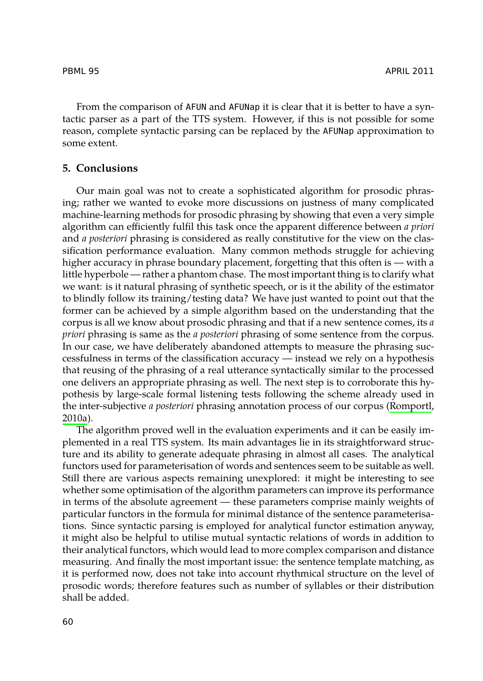From the comparison of AFUN and AFUNap it is clear that it is better to have a syntactic parser as a part of the TTS system. However, if this is not possible for some reason, complete syntactic parsing can be replaced by the AFUNap approximation to some extent.

# **5. Conclusions**

Our main goal was not to create a sophisticated algorithm for prosodic phrasing; rather we wanted to evoke more discussions on justness of many complicated machine-learning methods for prosodic phrasing by showing that even a very simple algorithm can efficiently fulfil this task once the apparent difference between *a priori* and *a posteriori* phrasing is considered as really constitutive for the view on the classification performance evaluation. Many common methods struggle for achieving higher accuracy in phrase boundary placement, forgetting that this often is — with a little hyperbole — rather a phantom chase. The most important thing is to clarify what we want: is it natural phrasing of synthetic speech, or is it the ability of the estimator to blindly follow its training/testing data? We have just wanted to point o[ut that the](#page-10-1) [forme](#page-10-1)r can be achieved by a simple algorithm based on the understanding that the corpus is all we know about prosodic phrasing and that if a new sentence comes, its *a priori* phrasing is same as the *a posteriori* phrasing of some sentence from the corpus. In our case, we have deliberately abandoned attempts to measure the phrasing successfulness in terms of the classification accuracy — instead we rely on a hypothesis that reusing of the phrasing of a real utterance syntactically similar to the processed one delivers an appropriate phrasing as well. The next step is to corroborate this hypothesis by large-scale formal listening tests following the scheme already used in the inter-subjective *a posteriori* phrasing annotation process of our corpus (Romportl, 2010a).

The algorithm proved well in the evaluation experiments and it can be easily implemented in a real TTS system. Its main advantages lie in its straightforward structure and its ability to generate adequate phrasing in almost all cases. The analytical functors used for parameterisation of words and sentences seem to be suitable as well. Still there are various aspects remaining unexplored: it might be interesting to see whether some optimisation of the algorithm parameters can improve its performance in terms of the absolute agreement — these parameters comprise mainly weights of particular functors in the formula for minimal distance of the sentence parameterisations. Since syntactic parsing is employed for analytical functor estimation anyway, it might also be helpful to utilise mutual syntactic relations of words in addition to their analytical functors, which would lead to more complex comparison and distance measuring. And finally the most important issue: the sentence template matching, as it is performed now, does not take into account rhythmical structure on the level of prosodic words; therefore features such as number of syllables or their distribution shall be added.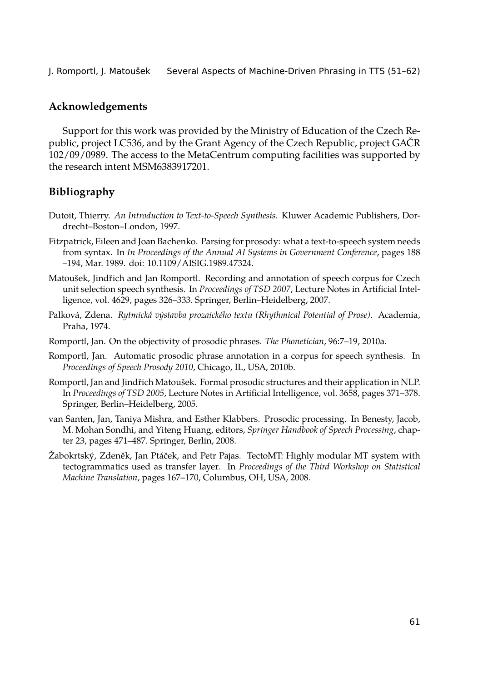# **Acknowledgements**

Support for this work was provided by the Ministry of Education of the Czech Republic, project LC536, and by the Grant Agency of the Czech Republic, project GAČR 102/09/0989. The access to the MetaCentrum computing facilities was supported by the research intent MSM6383917201.

# **Bibliography**

- <span id="page-10-4"></span>Dutoit, Thierry. *An Introduction to Text-to-Speech Synthesis*. Kluwer Academic Publishers, Dordrecht–Boston–London, 1997.
- <span id="page-10-5"></span>Fitzpatrick, Eileen and Joan Bachenko. Parsing for prosody: what a text-to-speech system needs from syntax. In *In Proceedings of the Annual AI Systems in Government Conference*, pages 188 –194, Mar. 1989. doi: 10.1109/AISIG.1989.47324.
- <span id="page-10-6"></span>Matoušek, Jindřich and Jan Romportl. Recording and annotation of speech corpus for Czech unit selection speech synthesis. In *Proceedings of TSD 2007*, Lecture Notes in Artificial Intelligence, vol. 4629, pages 326–333. Springer, Berlin–Heidelberg, 2007.
- <span id="page-10-7"></span>Palková, Zdena. *Rytmická výstavba prozaického textu (Rhythmical Potential of Prose)*. Academia, Praha, 1974.
- <span id="page-10-1"></span>Romportl, Jan. On the objectivity of prosodic phrases. *The Phonetician*, 96:7–19, 2010a.
- <span id="page-10-2"></span>Romportl, Jan. Automatic prosodic phrase annotation in a corpus for speech synthesis. In *Proceedings of Speech Prosody 2010*, Chicago, IL, USA, 2010b.
- <span id="page-10-0"></span>Romportl, Jan and Jindřich Matoušek. Formal prosodic structures and their application in NLP. In *Proceedings of TSD 2005*, Lecture Notes in Artificial Intelligence, vol. 3658, pages 371–378. Springer, Berlin–Heidelberg, 2005.
- <span id="page-10-3"></span>van Santen, Jan, Taniya Mishra, and Esther Klabbers. Prosodic processing. In Benesty, Jacob, M. Mohan Sondhi, and Yiteng Huang, editors, *Springer Handbook of Speech Processing*, chapter 23, pages 471–487. Springer, Berlin, 2008.
- <span id="page-10-8"></span>Žabokrtský, Zdeněk, Jan Ptáček, and Petr Pajas. TectoMT: Highly modular MT system with tectogrammatics used as transfer layer. In *Proceedings of the Third Workshop on Statistical Machine Translation*, pages 167–170, Columbus, OH, USA, 2008.